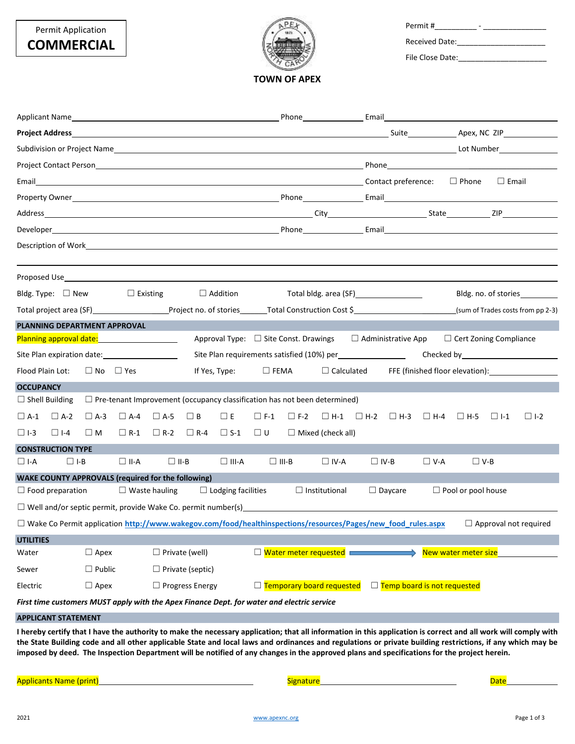| Permit#               |  |  |
|-----------------------|--|--|
| <b>Received Date:</b> |  |  |

File Close Date:\_\_\_\_\_\_\_\_\_\_\_\_\_\_\_\_\_\_\_\_\_

**TOWN OF APEX**

|                                                                                                                     |            |                            |                                |                              |                        |                                                   |                      |                       |                                                                                  | Phone <b>Email</b> Email <b>Exercise Email Email Email Email Exercise Email Exercise Email</b> |            |                               |            |                                   |
|---------------------------------------------------------------------------------------------------------------------|------------|----------------------------|--------------------------------|------------------------------|------------------------|---------------------------------------------------|----------------------|-----------------------|----------------------------------------------------------------------------------|------------------------------------------------------------------------------------------------|------------|-------------------------------|------------|-----------------------------------|
|                                                                                                                     |            |                            |                                |                              |                        |                                                   |                      |                       |                                                                                  |                                                                                                |            |                               |            |                                   |
|                                                                                                                     |            |                            |                                |                              |                        |                                                   |                      |                       |                                                                                  |                                                                                                |            |                               |            |                                   |
|                                                                                                                     |            |                            |                                |                              |                        |                                                   |                      |                       |                                                                                  |                                                                                                |            |                               |            |                                   |
|                                                                                                                     |            |                            |                                |                              |                        |                                                   |                      |                       |                                                                                  |                                                                                                |            |                               |            |                                   |
|                                                                                                                     |            |                            |                                |                              |                        |                                                   |                      |                       |                                                                                  |                                                                                                |            |                               |            |                                   |
|                                                                                                                     |            |                            |                                |                              |                        |                                                   |                      |                       |                                                                                  |                                                                                                |            |                               |            |                                   |
|                                                                                                                     |            |                            |                                |                              |                        |                                                   |                      |                       |                                                                                  |                                                                                                |            |                               |            |                                   |
|                                                                                                                     |            |                            |                                |                              |                        |                                                   |                      |                       |                                                                                  |                                                                                                |            |                               |            |                                   |
|                                                                                                                     |            |                            |                                |                              |                        |                                                   |                      |                       |                                                                                  |                                                                                                |            |                               |            |                                   |
|                                                                                                                     |            |                            |                                |                              |                        |                                                   |                      |                       |                                                                                  |                                                                                                |            |                               |            |                                   |
| Bldg. Type: $\Box$ New $\Box$ Existing                                                                              |            |                            |                                |                              |                        | $\Box$ Addition                                   |                      |                       |                                                                                  | Total bldg. area (SF) [19] Total bldg. area (SF)                                               |            |                               |            | Bldg. no. of stories              |
| Total project area (SF) Total Project no. of stories Total Construction Cost \$                                     |            |                            |                                |                              |                        |                                                   |                      |                       |                                                                                  |                                                                                                |            |                               |            | (sum of Trades costs from pp 2-3) |
| PLANNING DEPARTMENT APPROVAL                                                                                        |            |                            |                                |                              |                        |                                                   |                      |                       |                                                                                  |                                                                                                |            |                               |            |                                   |
| Planning approval date:<br><u>Planning approval date:</u>                                                           |            |                            |                                |                              |                        | Approval Type: $\Box$ Site Const. Drawings        |                      |                       |                                                                                  | $\Box$ Administrative App                                                                      |            | $\Box$ Cert Zoning Compliance |            |                                   |
|                                                                                                                     |            |                            |                                |                              |                        |                                                   |                      |                       | Site Plan requirements satisfied (10%) per___________________                    |                                                                                                |            |                               |            |                                   |
| Flood Plain Lot: □ No □ Yes<br>If Yes, Type: $\square$ FEMA                                                         |            |                            |                                |                              |                        | $\Box$ Calculated FFE (finished floor elevation): |                      |                       |                                                                                  |                                                                                                |            |                               |            |                                   |
| <b>OCCUPANCY</b>                                                                                                    |            |                            |                                |                              |                        |                                                   |                      |                       |                                                                                  |                                                                                                |            |                               |            |                                   |
| $\Box$ Shell Building                                                                                               |            |                            |                                |                              |                        |                                                   |                      |                       | $\Box$ Pre-tenant Improvement (occupancy classification has not been determined) |                                                                                                |            |                               |            |                                   |
| $\Box$ A-1                                                                                                          | $\Box$ A-2 | $\Box$ A-3                 | $\Box$ A-4 $\Box$ A-5 $\Box$ B |                              |                        | $\square$ E                                       |                      | $\Box$ F-1 $\Box$ F-2 |                                                                                  | $\Box$ H-1 $\Box$ H-2 $\Box$ H-3 $\Box$ H-4 $\Box$ H-5                                         |            |                               | $\Box$ 1-1 | $\Box$ 1-2                        |
| $\Box$ I-3                                                                                                          | $\Box$ I-4 | $\square$ M                | $\Box$ R-1                     | $\Box$ R-2                   | $\Box$ R-4             | $\Box$ S-1                                        | $\square$ U          |                       | $\Box$ Mixed (check all)                                                         |                                                                                                |            |                               |            |                                   |
| <b>CONSTRUCTION TYPE</b>                                                                                            |            |                            |                                |                              |                        |                                                   |                      |                       |                                                                                  |                                                                                                |            |                               |            |                                   |
| $\square$ I-A                                                                                                       | $\Box$ I-B |                            | $\Box$ II-A                    | $\Box$ II-B                  |                        | $\Box$ III-A                                      | $\square$ III-B      |                       | $\Box$ IV-A                                                                      | $\Box$ IV-B                                                                                    | $\Box$ V-A | $\Box$ V-B                    |            |                                   |
| <b>WAKE COUNTY APPROVALS (required for the following)</b>                                                           |            |                            |                                |                              |                        |                                                   |                      |                       |                                                                                  |                                                                                                |            |                               |            |                                   |
| $\Box$ Food preparation                                                                                             |            |                            |                                | $\Box$ Waste hauling         |                        | $\Box$ Lodging facilities                         |                      |                       | $\Box$ Institutional                                                             | $\Box$ Daycare                                                                                 |            | $\Box$ Pool or pool house     |            |                                   |
|                                                                                                                     |            |                            |                                |                              |                        |                                                   |                      |                       |                                                                                  |                                                                                                |            |                               |            |                                   |
| $\Box$ Wake Co Permit application http://www.wakegov.com/food/healthinspections/resources/Pages/new food rules.aspx |            |                            |                                |                              |                        |                                                   |                      |                       |                                                                                  |                                                                                                |            |                               |            | $\Box$ Approval not required      |
| <b>UTILITIES</b>                                                                                                    |            |                            |                                |                              |                        |                                                   |                      |                       |                                                                                  |                                                                                                |            |                               |            |                                   |
| $\Box$ Apex<br>$\Box$ Private (well)<br>Water                                                                       |            |                            |                                | $\Box$ Water meter requested |                        |                                                   | New water meter size |                       |                                                                                  |                                                                                                |            |                               |            |                                   |
| $\Box$ Public<br>$\Box$ Private (septic)<br>Sewer                                                                   |            |                            |                                |                              |                        |                                                   |                      |                       |                                                                                  |                                                                                                |            |                               |            |                                   |
| Electric                                                                                                            |            | $\Box$ Apex                |                                |                              | $\Box$ Progress Energy |                                                   |                      |                       | □ Temporary board requested                                                      | □ Temp board is not requested                                                                  |            |                               |            |                                   |
| First time customers MUST apply with the Apex Finance Dept. for water and electric service                          |            |                            |                                |                              |                        |                                                   |                      |                       |                                                                                  |                                                                                                |            |                               |            |                                   |
|                                                                                                                     |            | <b>APPLICANT STATEMENT</b> |                                |                              |                        |                                                   |                      |                       |                                                                                  |                                                                                                |            |                               |            |                                   |

**I hereby certify that I have the authority to make the necessary application; that all information in this application is correct and all work will comply with the State Building code and all other applicable State and local laws and ordinances and regulations or private building restrictions, if any which may be imposed by deed. The Inspection Department will be notified of any changes in the approved plans and specifications for the project herein.**

Applicants Name (print) Signature Date

Permit Application **COMMERCIAL**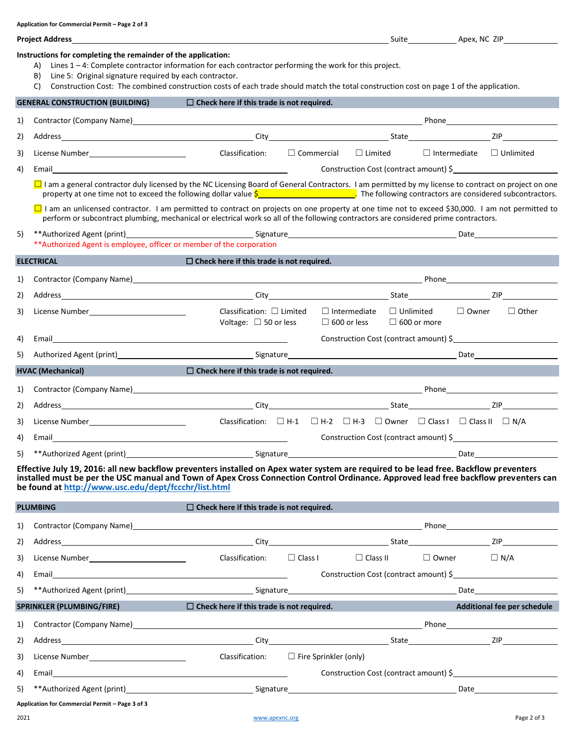|    | Application for commercial Permit – Page 2 or 5                                                                                                                                                                                                                                                                                                                                                    |                                                                                                         |                                                                         |                    |  |                                        |
|----|----------------------------------------------------------------------------------------------------------------------------------------------------------------------------------------------------------------------------------------------------------------------------------------------------------------------------------------------------------------------------------------------------|---------------------------------------------------------------------------------------------------------|-------------------------------------------------------------------------|--------------------|--|----------------------------------------|
|    | Project Address                                                                                                                                                                                                                                                                                                                                                                                    |                                                                                                         |                                                                         |                    |  |                                        |
|    | Instructions for completing the remainder of the application:<br>Lines $1 - 4$ : Complete contractor information for each contractor performing the work for this project.<br>A)<br>Line 5: Original signature required by each contractor.<br>B)<br>Construction Cost: The combined construction costs of each trade should match the total construction cost on page 1 of the application.<br>C) |                                                                                                         |                                                                         |                    |  |                                        |
|    | <b>GENERAL CONSTRUCTION (BUILDING)</b>                                                                                                                                                                                                                                                                                                                                                             | $\Box$ Check here if this trade is not required.                                                        |                                                                         |                    |  |                                        |
| 1) | Contractor (Company Name) 2012 12:30 12:30 12:30 12:30 12:30 12:30 12:30 12:30 12:30 12:30 12:30 12:30 12:30 12:30 12:30 12:30 12:30 12:30 12:30 12:30 12:30 12:30 12:30 12:30 12:30 12:30 12:30 12:30 12:30 12:30 12:30 12:30                                                                                                                                                                     |                                                                                                         |                                                                         |                    |  |                                        |
| 2) |                                                                                                                                                                                                                                                                                                                                                                                                    |                                                                                                         |                                                                         |                    |  |                                        |
| 3) |                                                                                                                                                                                                                                                                                                                                                                                                    | Classification: $\square$ Commercial $\square$ Limited $\square$ Intermediate $\square$ Unlimited       |                                                                         |                    |  |                                        |
| 4) | Email <b>Exercise Contract Contract Contract Contract Contract Contract Contract Contract Contract Contract Contract Contract Contract Contract Contract Contract Contract Contract Contract Contract Contract Contract Contract</b>                                                                                                                                                               |                                                                                                         |                                                                         |                    |  | Construction Cost (contract amount) \$ |
|    | $\Box$ I am a general contractor duly licensed by the NC Licensing Board of General Contractors. I am permitted by my license to contract on project on one<br>property at one time not to exceed the following dollar value $\frac{\zeta}{2}$ The following contractors are considered subcontractors.                                                                                            |                                                                                                         |                                                                         |                    |  |                                        |
|    | □ I am an unlicensed contractor. I am permitted to contract on projects on one property at one time not to exceed \$30,000. I am not permitted to<br>perform or subcontract plumbing, mechanical or electrical work so all of the following contractors are considered prime contractors.                                                                                                          |                                                                                                         |                                                                         |                    |  |                                        |
| 5) | ** Authorized Agent is employee, officer or member of the corporation                                                                                                                                                                                                                                                                                                                              |                                                                                                         |                                                                         |                    |  |                                        |
|    | <b>ELECTRICAL</b><br><b>Service Service</b>                                                                                                                                                                                                                                                                                                                                                        | $\square$ Check here if this trade is not required.                                                     |                                                                         |                    |  |                                        |
| 1) | Contractor (Company Name) 2012 12:30 12:30 12:30 12:30 12:30 12:30 12:30 12:30 12:30 12:30 12:30 12:30 12:30 12:30 12:30 12:30 12:30 12:30 12:30 12:30 12:30 12:30 12:30 12:30 12:30 12:30 12:30 12:30 12:30 12:30 12:30 12:30                                                                                                                                                                     |                                                                                                         |                                                                         |                    |  |                                        |
| 2) |                                                                                                                                                                                                                                                                                                                                                                                                    |                                                                                                         |                                                                         |                    |  |                                        |
| 3) | License Number________________________________                                                                                                                                                                                                                                                                                                                                                     | Classification: $\Box$ Limited<br>Voltage: $\Box$ 50 or less                                            | $\Box$ Intermediate $\Box$ Unlimited $\Box$ Owner<br>$\Box$ 600 or less | $\Box$ 600 or more |  | $\Box$ Other                           |
| 4) |                                                                                                                                                                                                                                                                                                                                                                                                    |                                                                                                         |                                                                         |                    |  | Construction Cost (contract amount) \$ |
| 5) |                                                                                                                                                                                                                                                                                                                                                                                                    |                                                                                                         |                                                                         |                    |  |                                        |
|    | <b>Service Service</b><br><b>HVAC (Mechanical)</b>                                                                                                                                                                                                                                                                                                                                                 | $\Box$ Check here if this trade is not required.                                                        |                                                                         |                    |  |                                        |
| 1) |                                                                                                                                                                                                                                                                                                                                                                                                    |                                                                                                         |                                                                         |                    |  |                                        |
| 2) |                                                                                                                                                                                                                                                                                                                                                                                                    |                                                                                                         |                                                                         |                    |  |                                        |
| 3) | License Number_____________________________                                                                                                                                                                                                                                                                                                                                                        | Classification: $\Box$ H-1 $\Box$ H-2 $\Box$ H-3 $\Box$ Owner $\Box$ Class I $\Box$ Class II $\Box$ N/A |                                                                         |                    |  |                                        |
| 4) |                                                                                                                                                                                                                                                                                                                                                                                                    |                                                                                                         |                                                                         |                    |  | Construction Cost (contract amount) \$ |
| 5) | **Authorized Agent (print) example and the Signature Signature Signature and the Date of Date of the Date of the Signature of the Signature of the Date of the Date of the Signature of the Signature of the Signature of the                                                                                                                                                                      |                                                                                                         |                                                                         |                    |  |                                        |
|    | Effective July 19, 2016: all new backflow preventers installed on Apex water system are required to be lead free. Backflow preventers                                                                                                                                                                                                                                                              |                                                                                                         |                                                                         |                    |  |                                        |

**installed must be per the USC manual and Town of Apex Cross Connection Control Ordinance. Approved lead free backflow preventers can be found at<http://www.usc.edu/dept/fccchr/list.html>**

| Classification:                                                                                       |                                              |                                                                                                      | $\Box$ Owner                                                   | $\Box$ N/A                                                                                                                                                                                                                                                                                                                             |  |  |
|-------------------------------------------------------------------------------------------------------|----------------------------------------------|------------------------------------------------------------------------------------------------------|----------------------------------------------------------------|----------------------------------------------------------------------------------------------------------------------------------------------------------------------------------------------------------------------------------------------------------------------------------------------------------------------------------------|--|--|
| Construction Cost (contract amount) $\frac{1}{2}$                                                     |                                              |                                                                                                      |                                                                |                                                                                                                                                                                                                                                                                                                                        |  |  |
|                                                                                                       |                                              |                                                                                                      |                                                                |                                                                                                                                                                                                                                                                                                                                        |  |  |
|                                                                                                       |                                              |                                                                                                      | Additional fee per schedule                                    |                                                                                                                                                                                                                                                                                                                                        |  |  |
|                                                                                                       |                                              |                                                                                                      |                                                                |                                                                                                                                                                                                                                                                                                                                        |  |  |
|                                                                                                       |                                              |                                                                                                      |                                                                |                                                                                                                                                                                                                                                                                                                                        |  |  |
|                                                                                                       |                                              |                                                                                                      |                                                                |                                                                                                                                                                                                                                                                                                                                        |  |  |
|                                                                                                       |                                              |                                                                                                      |                                                                |                                                                                                                                                                                                                                                                                                                                        |  |  |
|                                                                                                       |                                              |                                                                                                      |                                                                |                                                                                                                                                                                                                                                                                                                                        |  |  |
|                                                                                                       |                                              |                                                                                                      |                                                                |                                                                                                                                                                                                                                                                                                                                        |  |  |
| <b>PLUMBING</b><br>SPRINKLER (PLUMBING/FIRE)<br>1)<br>Application for Commercial Permit - Page 3 of 3 | License Number______________________________ | $\Box$ Check here if this trade is not required.<br>$\Box$ Check here if this trade is not required. | $\Box$ Class I<br>Classification: $\Box$ Fire Sprinkler (only) | Contractor (Company Name) 2012 12:20 20:20 20:20 20:20 20:20 20:20 20:20 20:20 20:20 20:20 20:20 20:20 20:20 20:20 20:20 20:20 20:20 20:20 20:20 20:20 20:20 20:20 20:20 20:20 20:20 20:20 20:20 20:20 20:20 20:20 20:20 20:20<br>$\Box$ Class II<br><u> 1989 - Johann Barbara, martxa a</u><br>Construction Cost (contract amount) \$ |  |  |